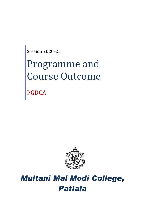Session 2020-21

# Programme and Course Outcome

PGDCA



# *Multani Mal Modi College, Patiala*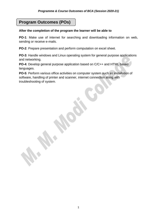## **Program Outcomes (POs)**

#### **After the completion of the program the learner will be able to**

**PO-1**: Make use of internet for searching and downloading information on web, sending or receive e-mails.

**PO-2**: Prepare presentation and perform computation on excel sheet.

**PO-3**: Handle windows and Linux operating system for general purpose applications and networking.

**PO-4**: Develop general purpose application based on C/C++ and HTML based languages.

**PO-5**: Perform various office activities on computer system such as installation of software, handling of printer and scanner, internet connection along with troubleshooting of system.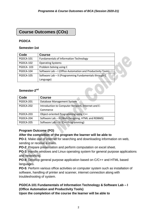### **Course Outcomes (COs)**

#### **PGDCA**

#### **Semester-1st**

| Code             | <b>Course</b>                                               |  |
|------------------|-------------------------------------------------------------|--|
| PGDCA-101        | <b>Fundamentals of Information Technology</b>               |  |
| PGDCA-102        | <b>Operating Systems</b>                                    |  |
| <b>PGDCA-103</b> | Problem Solving using C                                     |  |
| PGDCA-104        | Software Lab - I (Office Automation and Productivity Tools) |  |
| PGDCA-105        | Software Lab - II (Programming Fundamentals through C       |  |
|                  | Language)                                                   |  |

#### Semester-2<sup>nd</sup>

| Code      | <b>Course</b>                                      |
|-----------|----------------------------------------------------|
| PGDCA-201 | Database Management System                         |
| PGDCA-202 | Introduction to Computer Network, Internet and E-  |
|           | Commerce                                           |
| PGDCA-203 | Object-oriented Programming using C++              |
| PGDCA-204 | Software Lab - III (Web Designing, HTML and RDBMS) |
| PGDCA-205 | Software Lab - IV (C++ Programming)                |

#### **Program Outcome (PO)**

#### **After the completion of the program the learner will be able to**

**PO-1**: Make use of internet for searching and downloading information on web, sending or receive e-mails.

**PO-2**: Prepare presentation and perform computation on excel sheet.

**PO-3**: Handle windows and Linux operating system for general purpose applications and networking.

**PO-4**: Develop general purpose application based on C/C++ and HTML based languages.

**PO-5**: Perform various office activities on computer system such as installation of software, handling of printer and scanner, internet connection along with troubleshooting of system.

#### **PGDCA-101 Fundamentals of Information Technology & Software Lab – I (Office Automation and Productivity Tools)**

**Upon the completion of the course the learner will be able to**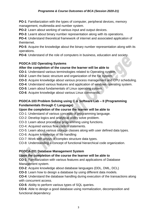#### *Programme & Course Outcomes of BCA (Session 2020-21)*

**PO-1**: Familiarization with the types of computer, peripheral devices, memory management, multimedia and number system.

**PO-2**: Learn about working of various input and output devices.

**PO-3**: Learnt about binary number representation along with its operations.

**PO-4**: Understand theoretical framework of internet and associated application of theinternet.

**PO-5**: Acquire the knowledge about the binary number representation along with its operations.

**PO-6**: Understand of the role of computers in business, education and society.

#### **PGDCA-102 Operating Systems**

#### **After the completion of the course the learner will be able to**

**CO-1**: Understand various terminologies related to Operating system.

**CO-2**: Learn the basic structure and organization of the file system.

**CO-3**: Acquire knowledge about various process management and CPU scheduling.

**CO-4**: Understand various features and application of windows operating system.

**CO-5**: Learn about fundamentals of Linux operating system.

**CO-6**: Acquire knowledge about various Linux commands.

#### **PGDCA-103 Problem Solving using C & Software Lab – II (Programming Fundamentals through C Language)**

#### **Upon the completion of the course the learner will be able to**

CO-1: Understand of various concepts of programming language.

CO-2: Develop logics and analytical ability solve problem.

- CO-3: Learn about procedural programming using functions.
- CO-4: Acquired various flow control statements.
- CO-5: Learn about various storage classes along with user defined data types.
- CO-6: Acquire knowledge of file handling
- CO-7: Work with arrays of complex structure data types.

CO-8: Understanding a concept of functional hierarchical code organization.

#### **PGDCA-201 Database Management System**

#### **Upon the completion of the course the learner will be able to**

**CO-1**: Familiarization with various features and applications of Database Management system.

**CO-2**: Acquire knowledge about database languages (DDL, DML, DCL)

**CO-3**: Learn how to design a database by using different data models.

**CO-4**: Understand the database handling during execution of the transactions along with concurrent access.

**CO-5**: Ability to perform various types of SQL queries.

**CO-6**: Able to design a good database using normalization, decomposition and functional dependency